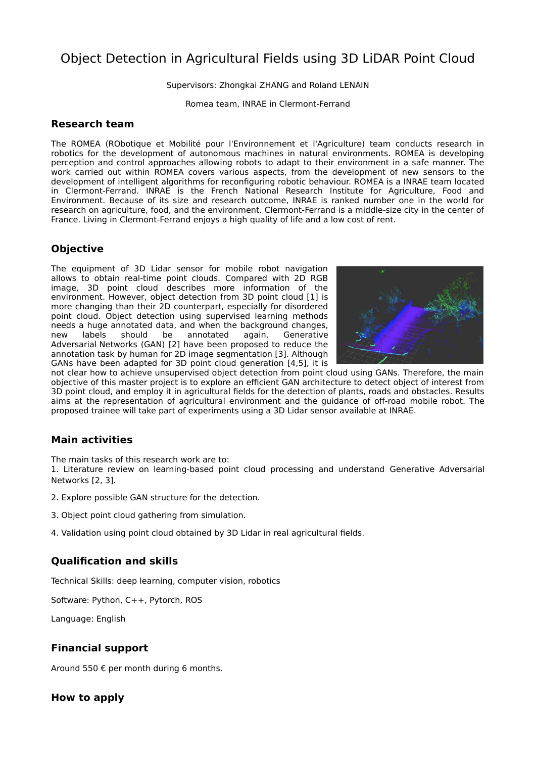# Object Detection in Agricultural Fields using 3D LiDAR Point Cloud

Supervisors: Zhongkai ZHANG and Roland LENAIN

Romea team, INRAE in Clermont-Ferrand

#### **Research team**

The ROMEA (RObotique et Mobilité pour l'Environnement et l'Agriculture) team conducts research in robotics for the development of autonomous machines in natural environments. ROMEA is developing perception and control approaches allowing robots to adapt to their environment in a safe manner. The work carried out within ROMEA covers various aspects, from the development of new sensors to the development of intelligent algorithms for reconfiguring robotic behaviour. ROMEA is a INRAE team located in Clermont-Ferrand. INRAE is the French National Research Institute for Agriculture, Food and Environment. Because of its size and research outcome, INRAE is ranked number one in the world for research on agriculture, food, and the environment. Clermont-Ferrand is a middle-size city in the center of France. Living in Clermont-Ferrand enjoys a high quality of life and a low cost of rent.

# **Objective**

The equipment of 3D Lidar sensor for mobile robot navigation allows to obtain real-time point clouds. Compared with 2D RGB image, 3D point cloud describes more information of the environment. However, object detection from 3D point cloud [1] is more changing than their 2D counterpart, especially for disordered point cloud. Object detection using supervised learning methods needs a huge annotated data, and when the background changes, new labels should be annotated again. Generative Adversarial Networks (GAN) [2] have been proposed to reduce the annotation task by human for 2D image segmentation [3]. Although GANs have been adapted for 3D point cloud generation [4,5], it is



not clear how to achieve unsupervised object detection from point cloud using GANs. Therefore, the main objective of this master project is to explore an efficient GAN architecture to detect object of interest from 3D point cloud, and employ it in agricultural fields for the detection of plants, roads and obstacles. Results aims at the representation of agricultural environment and the guidance of off-road mobile robot. The proposed trainee will take part of experiments using a 3D Lidar sensor available at INRAE.

## **Main activities**

The main tasks of this research work are to:

1. Literature review on learning-based point cloud processing and understand Generative Adversarial Networks [2, 3].

- 2. Explore possible GAN structure for the detection.
- 3. Object point cloud gathering from simulation.
- 4. Validation using point cloud obtained by 3D Lidar in real agricultural fields.

# **Qualification and skills**

Technical Skills: deep learning, computer vision, robotics

Software: Python, C++, Pytorch, ROS

Language: English

## **Financial support**

Around 550  $\epsilon$  per month during 6 months.

**How to apply**